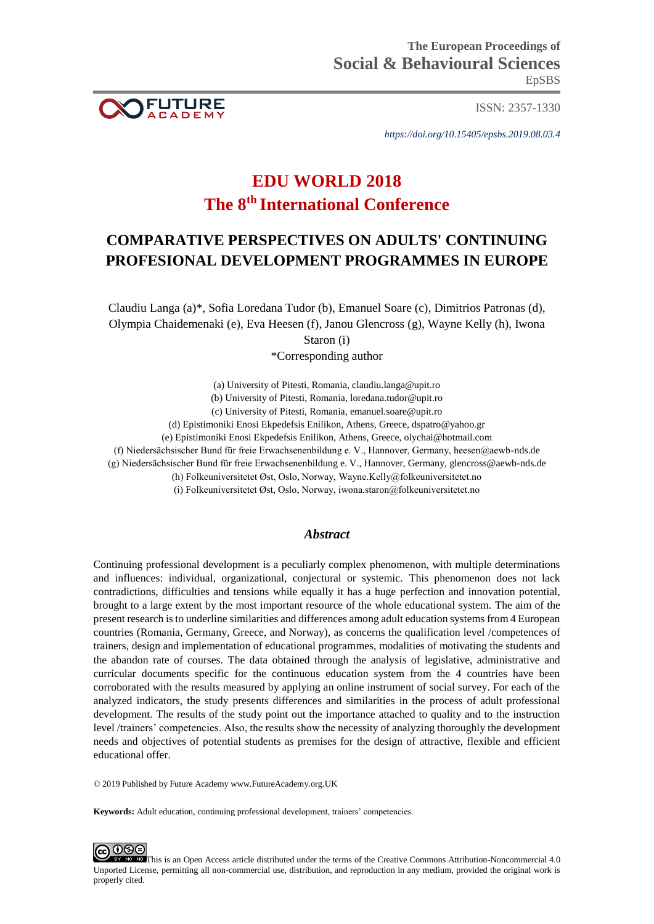

ISSN: 2357-1330

*https://doi.org/10.15405/epsbs.2019.08.03.4*

# **EDU WORLD 2018 The 8th International Conference**

## **COMPARATIVE PERSPECTIVES ON ADULTS' CONTINUING PROFESIONAL DEVELOPMENT PROGRAMMES IN EUROPE**

Claudiu Langa (a)\*, Sofia Loredana Tudor (b), Emanuel Soare (c), Dimitrios Patronas (d), Olympia Chaidemenaki (e), Eva Heesen (f), Janou Glencross (g), Wayne Kelly (h), Iwona Staron (i)

\*Corresponding author

(a) University of Pitesti, Romania, claudiu.langa@upit.ro

(b) University of Pitesti, Romania, loredana.tudor@upit.ro

(c) University of Pitesti, Romania, [emanuel.soare@upit.ro](mailto:emanuel.soare@upit.ro)

(d) Epistimoniki Enosi Ekpedefsis Enilikon, Athens, Greece, dspatro@yahoo.gr

(e) Epistimoniki Enosi Ekpedefsis Enilikon, Athens, Greece, olychai@hotmail.com

(f) Niedersächsischer Bund für freie Erwachsenenbildung e. V., Hannover, Germany, heesen@aewb-nds.de

(g) Niedersächsischer Bund für freie Erwachsenenbildung e. V., Hannover, Germany, glencross@aewb-nds.de

(h) Folkeuniversitetet Øst, Oslo, Norway, Wayne.Kelly@folkeuniversitetet.no

(i) Folkeuniversitetet Øst, Oslo, Norway, iwona.staron@folkeuniversitetet.no

### *Abstract*

Continuing professional development is a peculiarly complex phenomenon, with multiple determinations and influences: individual, organizational, conjectural or systemic. This phenomenon does not lack contradictions, difficulties and tensions while equally it has a huge perfection and innovation potential, brought to a large extent by the most important resource of the whole educational system. The aim of the present research is to underline similarities and differences among adult education systems from 4 European countries (Romania, Germany, Greece, and Norway), as concerns the qualification level /competences of trainers, design and implementation of educational programmes, modalities of motivating the students and the abandon rate of courses. The data obtained through the analysis of legislative, administrative and curricular documents specific for the continuous education system from the 4 countries have been corroborated with the results measured by applying an online instrument of social survey. For each of the analyzed indicators, the study presents differences and similarities in the process of adult professional development. The results of the study point out the importance attached to quality and to the instruction level /trainers' competencies. Also, the results show the necessity of analyzing thoroughly the development needs and objectives of potential students as premises for the design of attractive, flexible and efficient educational offer.

© 2019 Published by Future Academy www.FutureAcademy.org.UK

**Keywords:** Adult education, continuing professional development, trainers' competencies.



**ID** This is an Open Access article distributed under the terms of the Creative Commons Attribution-Noncommercial 4.0 Unported License, permitting all non-commercial use, distribution, and reproduction in any medium, provided the original work is properly cited.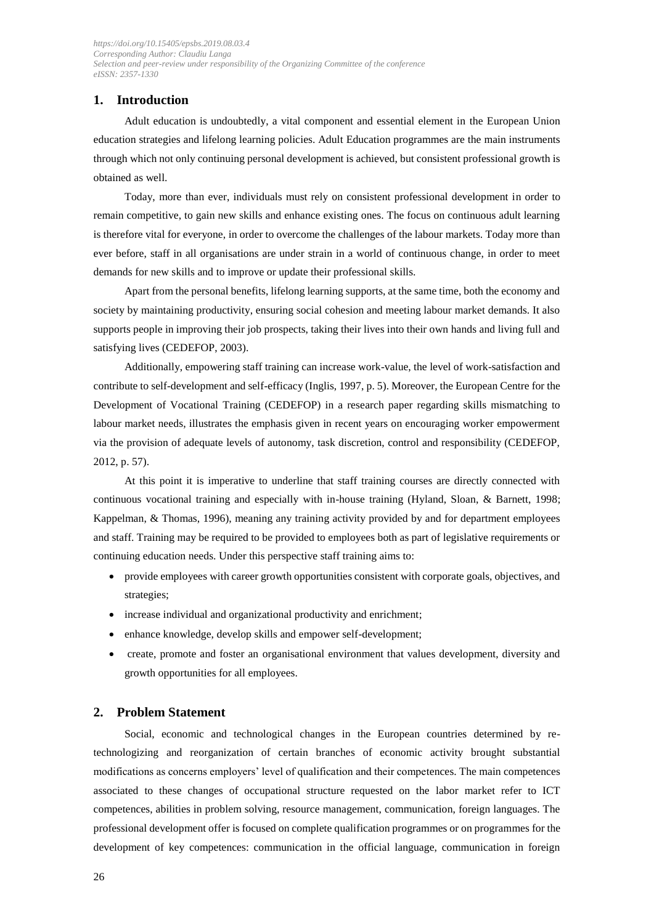## **1. Introduction**

Adult education is undoubtedly, a vital component and essential element in the European Union education strategies and lifelong learning policies. Adult Education programmes are the main instruments through which not only continuing personal development is achieved, but consistent professional growth is obtained as well.

Today, more than ever, individuals must rely on consistent professional development in order to remain competitive, to gain new skills and enhance existing ones. The focus on continuous adult learning is therefore vital for everyone, in order to overcome the challenges of the labour markets. Today more than ever before, staff in all organisations are under strain in a world of continuous change, in order to meet demands for new skills and to improve or update their professional skills.

Apart from the personal benefits, lifelong learning supports, at the same time, both the economy and society by maintaining productivity, ensuring social cohesion and meeting labour market demands. It also supports people in improving their job prospects, taking their lives into their own hands and living full and satisfying lives (CEDEFOP, 2003).

Additionally, empowering staff training can increase work-value, the level of work-satisfaction and contribute to self-development and self-efficacy (Inglis, 1997, p. 5). Moreover, the European Centre for the Development of Vocational Training (CEDEFOP) in a research paper regarding skills mismatching to labour market needs, illustrates the emphasis given in recent years on encouraging worker empowerment via the provision of adequate levels of autonomy, task discretion, control and responsibility (CEDEFOP, 2012, p. 57).

At this point it is imperative to underline that staff training courses are directly connected with continuous vocational training and especially with in-house training (Hyland, Sloan, & Barnett, 1998; Kappelman, & Thomas, 1996), meaning any training activity provided by and for department employees and staff. Training may be required to be provided to employees both as part of legislative requirements or continuing education needs. Under this perspective staff training aims to:

- provide employees with career growth opportunities consistent with corporate goals, objectives, and strategies;
- increase individual and organizational productivity and enrichment;
- enhance knowledge, develop skills and empower self-development;
- create, promote and foster an organisational environment that values development, diversity and growth opportunities for all employees.

#### **2. Problem Statement**

Social, economic and technological changes in the European countries determined by retechnologizing and reorganization of certain branches of economic activity brought substantial modifications as concerns employers' level of qualification and their competences. The main competences associated to these changes of occupational structure requested on the labor market refer to ICT competences, abilities in problem solving, resource management, communication, foreign languages. The professional development offer is focused on complete qualification programmes or on programmes for the development of key competences: communication in the official language, communication in foreign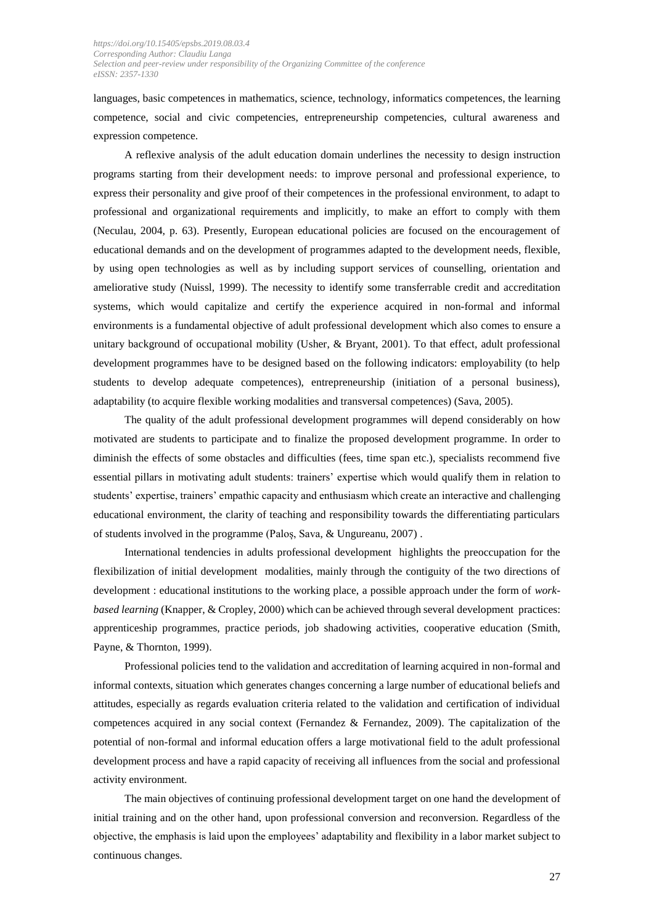languages, basic competences in mathematics, science, technology, informatics competences, the learning competence, social and civic competencies, entrepreneurship competencies, cultural awareness and expression competence.

A reflexive analysis of the adult education domain underlines the necessity to design instruction programs starting from their development needs: to improve personal and professional experience, to express their personality and give proof of their competences in the professional environment, to adapt to professional and organizational requirements and implicitly, to make an effort to comply with them (Neculau, 2004, p. 63). Presently, European educational policies are focused on the encouragement of educational demands and on the development of programmes adapted to the development needs, flexible, by using open technologies as well as by including support services of counselling, orientation and ameliorative study (Nuissl, 1999). The necessity to identify some transferrable credit and accreditation systems, which would capitalize and certify the experience acquired in non-formal and informal environments is a fundamental objective of adult professional development which also comes to ensure a unitary background of occupational mobility (Usher, & Bryant, 2001). To that effect, adult professional development programmes have to be designed based on the following indicators: employability (to help students to develop adequate competences), entrepreneurship (initiation of a personal business), adaptability (to acquire flexible working modalities and transversal competences) (Sava, 2005).

The quality of the adult professional development programmes will depend considerably on how motivated are students to participate and to finalize the proposed development programme. In order to diminish the effects of some obstacles and difficulties (fees, time span etc.), specialists recommend five essential pillars in motivating adult students: trainers' expertise which would qualify them in relation to students' expertise, trainers' empathic capacity and enthusiasm which create an interactive and challenging educational environment, the clarity of teaching and responsibility towards the differentiating particulars of students involved in the programme (Paloș, Sava, & Ungureanu, 2007) .

International tendencies in adults professional development highlights the preoccupation for the flexibilization of initial development modalities, mainly through the contiguity of the two directions of development : educational institutions to the working place, a possible approach under the form of *workbased learning* (Knapper, & Cropley, 2000) which can be achieved through several development practices: apprenticeship programmes, practice periods, job shadowing activities, cooperative education (Smith, Payne, & Thornton, 1999).

Professional policies tend to the validation and accreditation of learning acquired in non-formal and informal contexts, situation which generates changes concerning a large number of educational beliefs and attitudes, especially as regards evaluation criteria related to the validation and certification of individual competences acquired in any social context (Fernandez & Fernandez, 2009). The capitalization of the potential of non-formal and informal education offers a large motivational field to the adult professional development process and have a rapid capacity of receiving all influences from the social and professional activity environment.

The main objectives of continuing professional development target on one hand the development of initial training and on the other hand, upon professional conversion and reconversion. Regardless of the objective, the emphasis is laid upon the employees' adaptability and flexibility in a labor market subject to continuous changes.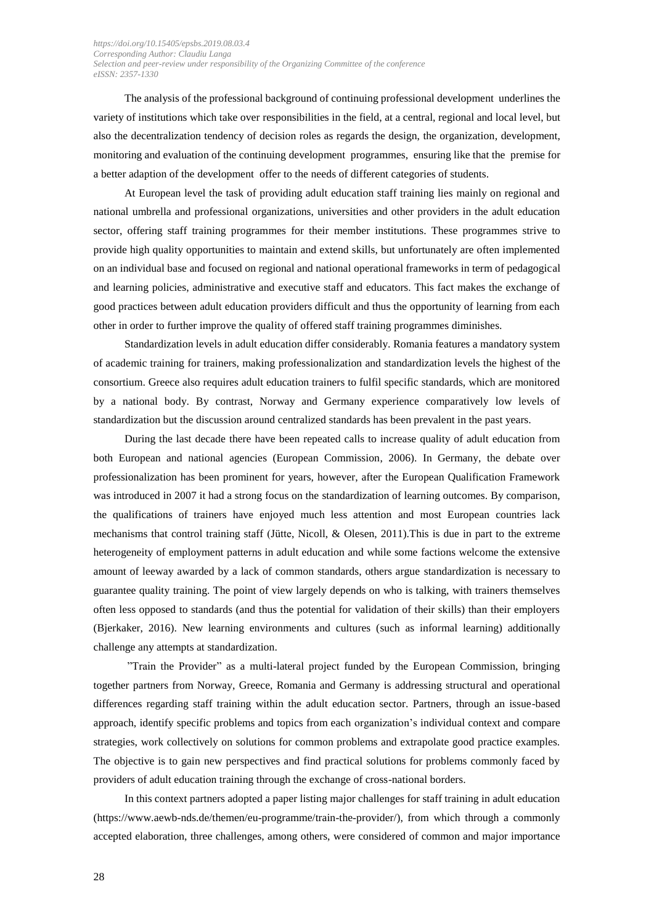The analysis of the professional background of continuing professional development underlines the variety of institutions which take over responsibilities in the field, at a central, regional and local level, but also the decentralization tendency of decision roles as regards the design, the organization, development, monitoring and evaluation of the continuing development programmes, ensuring like that the premise for a better adaption of the development offer to the needs of different categories of students.

At European level the task of providing adult education staff training lies mainly on regional and national umbrella and professional organizations, universities and other providers in the adult education sector, offering staff training programmes for their member institutions. These programmes strive to provide high quality opportunities to maintain and extend skills, but unfortunately are often implemented on an individual base and focused on regional and national operational frameworks in term of pedagogical and learning policies, administrative and executive staff and educators. This fact makes the exchange of good practices between adult education providers difficult and thus the opportunity of learning from each other in order to further improve the quality of offered staff training programmes diminishes.

Standardization levels in adult education differ considerably. Romania features a mandatory system of academic training for trainers, making professionalization and standardization levels the highest of the consortium. Greece also requires adult education trainers to fulfil specific standards, which are monitored by a national body. By contrast, Norway and Germany experience comparatively low levels of standardization but the discussion around centralized standards has been prevalent in the past years.

During the last decade there have been repeated calls to increase quality of adult education from both European and national agencies (European Commission, 2006). In Germany, the debate over professionalization has been prominent for years, however, after the European Qualification Framework was introduced in 2007 it had a strong focus on the standardization of learning outcomes. By comparison, the qualifications of trainers have enjoyed much less attention and most European countries lack mechanisms that control training staff (Jütte, Nicoll, & Olesen, 2011).This is due in part to the extreme heterogeneity of employment patterns in adult education and while some factions welcome the extensive amount of leeway awarded by a lack of common standards, others argue standardization is necessary to guarantee quality training. The point of view largely depends on who is talking, with trainers themselves often less opposed to standards (and thus the potential for validation of their skills) than their employers (Bjerkaker, 2016). New learning environments and cultures (such as informal learning) additionally challenge any attempts at standardization.

"Train the Provider" as a multi-lateral project funded by the European Commission, bringing together partners from Norway, Greece, Romania and Germany is addressing structural and operational differences regarding staff training within the adult education sector. Partners, through an issue-based approach, identify specific problems and topics from each organization's individual context and compare strategies, work collectively on solutions for common problems and extrapolate good practice examples. The objective is to gain new perspectives and find practical solutions for problems commonly faced by providers of adult education training through the exchange of cross-national borders.

In this context partners adopted a paper listing major challenges for staff training in adult education (https://www.aewb-nds.de/themen/eu-programme/train-the-provider/), from which through a commonly accepted elaboration, three challenges, among others, were considered of common and major importance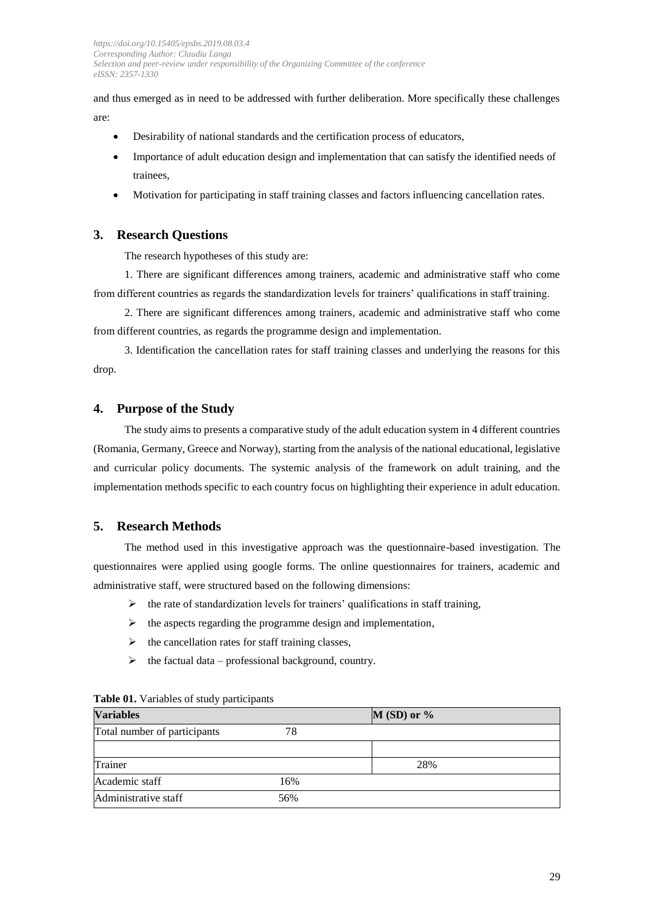and thus emerged as in need to be addressed with further deliberation. More specifically these challenges are:

- Desirability of national standards and the certification process of educators,
- Importance of adult education design and implementation that can satisfy the identified needs of trainees,
- Motivation for participating in staff training classes and factors influencing cancellation rates.

### **3. Research Questions**

The research hypotheses of this study are:

1. There are significant differences among trainers, academic and administrative staff who come from different countries as regards the standardization levels for trainers' qualifications in staff training.

2. There are significant differences among trainers, academic and administrative staff who come from different countries, as regards the programme design and implementation.

3. Identification the cancellation rates for staff training classes and underlying the reasons for this drop.

#### **4. Purpose of the Study**

The study aims to presents a comparative study of the adult education system in 4 different countries (Romania, Germany, Greece and Norway), starting from the analysis of the national educational, legislative and curricular policy documents. The systemic analysis of the framework on adult training, and the implementation methods specific to each country focus on highlighting their experience in adult education.

## **5. Research Methods**

The method used in this investigative approach was the questionnaire-based investigation. The questionnaires were applied using google forms. The online questionnaires for trainers, academic and administrative staff, were structured based on the following dimensions:

- $\triangleright$  the rate of standardization levels for trainers' qualifications in staff training,
- $\blacktriangleright$  the aspects regarding the programme design and implementation,
- $\triangleright$  the cancellation rates for staff training classes,
- $\triangleright$  the factual data professional background, country.

| <b>Variables</b>             |     | $M(SD)$ or % |  |
|------------------------------|-----|--------------|--|
| Total number of participants | 78  |              |  |
|                              |     |              |  |
| Trainer                      |     | 28%          |  |
| Academic staff               | 16% |              |  |
| Administrative staff         | 56% |              |  |

#### **Table 01.** Variables of study participants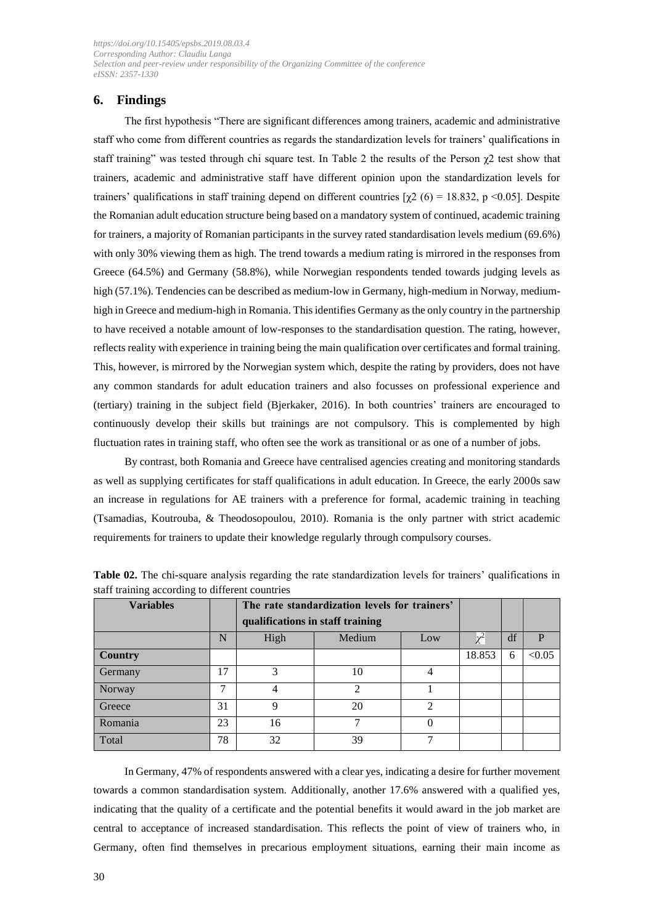## **6. Findings**

The first hypothesis "There are significant differences among trainers, academic and administrative staff who come from different countries as regards the standardization levels for trainers' qualifications in staff training" was tested through chi square test. In Table 2 the results of the Person  $\gamma$ 2 test show that trainers, academic and administrative staff have different opinion upon the standardization levels for trainers' qualifications in staff training depend on different countries  $[\gamma 2 (6) = 18.832, p \le 0.05]$ . Despite the Romanian adult education structure being based on a mandatory system of continued, academic training for trainers, a majority of Romanian participants in the survey rated standardisation levels medium (69.6%) with only 30% viewing them as high. The trend towards a medium rating is mirrored in the responses from Greece (64.5%) and Germany (58.8%), while Norwegian respondents tended towards judging levels as high (57.1%). Tendencies can be described as medium-low in Germany, high-medium in Norway, mediumhigh in Greece and medium-high in Romania. This identifies Germany as the only country in the partnership to have received a notable amount of low-responses to the standardisation question. The rating, however, reflects reality with experience in training being the main qualification over certificates and formal training. This, however, is mirrored by the Norwegian system which, despite the rating by providers, does not have any common standards for adult education trainers and also focusses on professional experience and (tertiary) training in the subject field (Bjerkaker, 2016). In both countries' trainers are encouraged to continuously develop their skills but trainings are not compulsory. This is complemented by high fluctuation rates in training staff, who often see the work as transitional or as one of a number of jobs.

By contrast, both Romania and Greece have centralised agencies creating and monitoring standards as well as supplying certificates for staff qualifications in adult education. In Greece, the early 2000s saw an increase in regulations for AE trainers with a preference for formal, academic training in teaching (Tsamadias, Koutrouba, & Theodosopoulou, 2010). Romania is the only partner with strict academic requirements for trainers to update their knowledge regularly through compulsory courses.

| <b>Variables</b> |               | The rate standardization levels for trainers'<br>qualifications in staff training |                |                |        |   |        |
|------------------|---------------|-----------------------------------------------------------------------------------|----------------|----------------|--------|---|--------|
|                  | N             | High                                                                              | Medium<br>Low  |                |        |   |        |
| <b>Country</b>   |               |                                                                                   |                |                | 18.853 | 6 | < 0.05 |
| Germany          | 17            |                                                                                   | 10             | 4              |        |   |        |
| Norway           | $\mathcal{I}$ |                                                                                   | $\mathfrak{D}$ |                |        |   |        |
| Greece           | 31            | 9                                                                                 | 20             | $\mathfrak{D}$ |        |   |        |
| Romania          | 23            | 16                                                                                | 7              |                |        |   |        |
| Total            | 78            | 32                                                                                | 39             |                |        |   |        |

**Table 02.** The chi-square analysis regarding the rate standardization levels for trainers' qualifications in staff training according to different countries

In Germany, 47% of respondents answered with a clear yes, indicating a desire for further movement towards a common standardisation system. Additionally, another 17.6% answered with a qualified yes, indicating that the quality of a certificate and the potential benefits it would award in the job market are central to acceptance of increased standardisation. This reflects the point of view of trainers who, in Germany, often find themselves in precarious employment situations, earning their main income as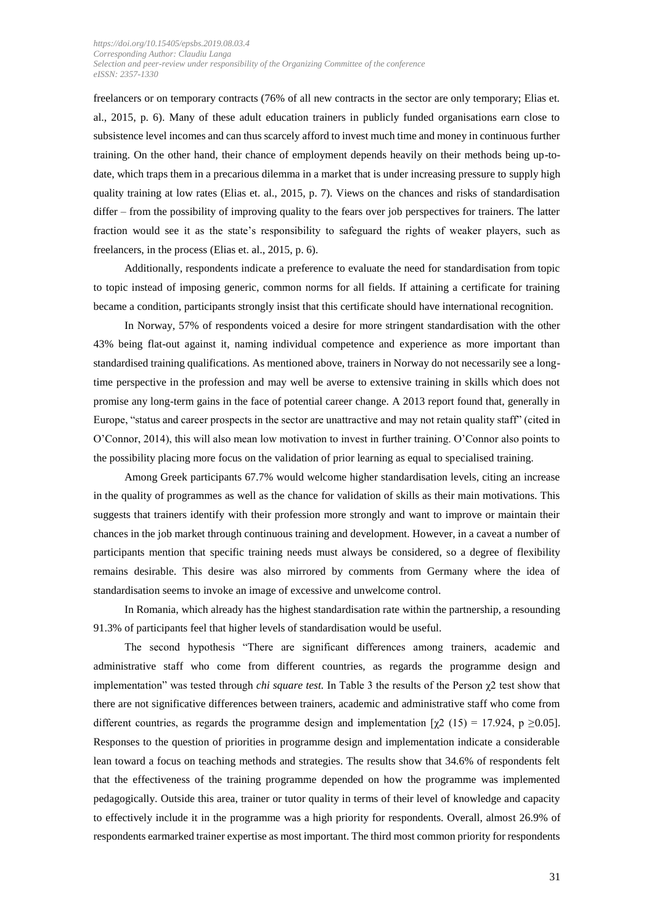freelancers or on temporary contracts (76% of all new contracts in the sector are only temporary; Elias et. al., 2015, p. 6). Many of these adult education trainers in publicly funded organisations earn close to subsistence level incomes and can thus scarcely afford to invest much time and money in continuous further training. On the other hand, their chance of employment depends heavily on their methods being up-todate, which traps them in a precarious dilemma in a market that is under increasing pressure to supply high quality training at low rates (Elias et. al., 2015, p. 7). Views on the chances and risks of standardisation differ – from the possibility of improving quality to the fears over job perspectives for trainers. The latter fraction would see it as the state's responsibility to safeguard the rights of weaker players, such as freelancers, in the process (Elias et. al., 2015, p. 6).

Additionally, respondents indicate a preference to evaluate the need for standardisation from topic to topic instead of imposing generic, common norms for all fields. If attaining a certificate for training became a condition, participants strongly insist that this certificate should have international recognition.

In Norway, 57% of respondents voiced a desire for more stringent standardisation with the other 43% being flat-out against it, naming individual competence and experience as more important than standardised training qualifications. As mentioned above, trainers in Norway do not necessarily see a longtime perspective in the profession and may well be averse to extensive training in skills which does not promise any long-term gains in the face of potential career change. A 2013 report found that, generally in Europe, "status and career prospects in the sector are unattractive and may not retain quality staff" (cited in O'Connor, 2014), this will also mean low motivation to invest in further training. O'Connor also points to the possibility placing more focus on the validation of prior learning as equal to specialised training.

Among Greek participants 67.7% would welcome higher standardisation levels, citing an increase in the quality of programmes as well as the chance for validation of skills as their main motivations. This suggests that trainers identify with their profession more strongly and want to improve or maintain their chances in the job market through continuous training and development. However, in a caveat a number of participants mention that specific training needs must always be considered, so a degree of flexibility remains desirable. This desire was also mirrored by comments from Germany where the idea of standardisation seems to invoke an image of excessive and unwelcome control.

In Romania, which already has the highest standardisation rate within the partnership, a resounding 91.3% of participants feel that higher levels of standardisation would be useful.

The second hypothesis "There are significant differences among trainers, academic and administrative staff who come from different countries, as regards the programme design and implementation" was tested through *chi square test.* In Table 3 the results of the Person χ2 test show that there are not significative differences between trainers, academic and administrative staff who come from different countries, as regards the programme design and implementation  $[\chi^2 (15) = 17.924, p \ge 0.05]$ . Responses to the question of priorities in programme design and implementation indicate a considerable lean toward a focus on teaching methods and strategies. The results show that 34.6% of respondents felt that the effectiveness of the training programme depended on how the programme was implemented pedagogically. Outside this area, trainer or tutor quality in terms of their level of knowledge and capacity to effectively include it in the programme was a high priority for respondents. Overall, almost 26.9% of respondents earmarked trainer expertise as most important. The third most common priority for respondents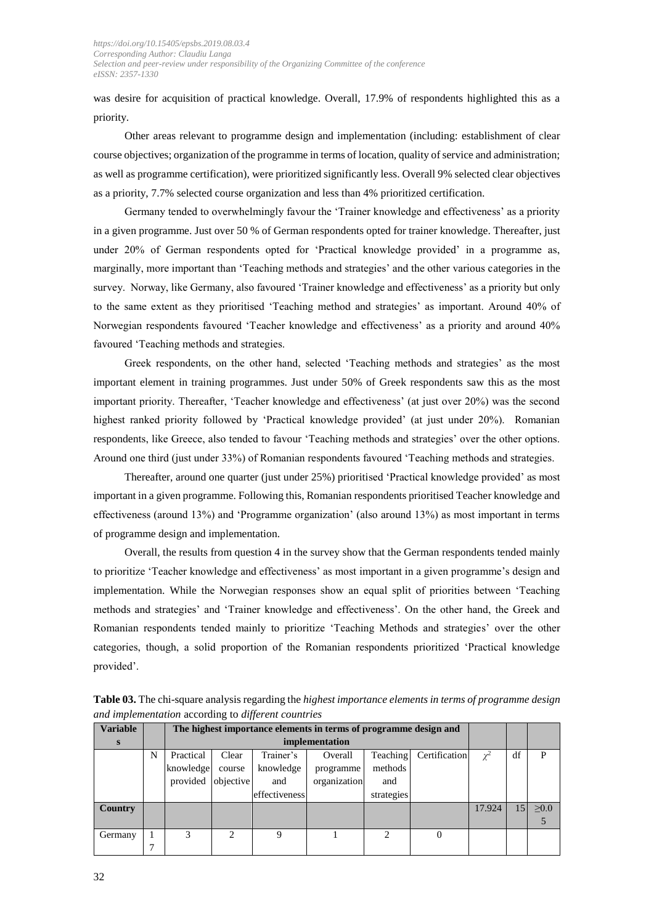was desire for acquisition of practical knowledge. Overall, 17.9% of respondents highlighted this as a priority.

Other areas relevant to programme design and implementation (including: establishment of clear course objectives; organization of the programme in terms of location, quality of service and administration; as well as programme certification), were prioritized significantly less. Overall 9% selected clear objectives as a priority, 7.7% selected course organization and less than 4% prioritized certification.

Germany tended to overwhelmingly favour the 'Trainer knowledge and effectiveness' as a priority in a given programme. Just over 50 % of German respondents opted for trainer knowledge. Thereafter, just under 20% of German respondents opted for 'Practical knowledge provided' in a programme as, marginally, more important than 'Teaching methods and strategies' and the other various categories in the survey. Norway, like Germany, also favoured 'Trainer knowledge and effectiveness' as a priority but only to the same extent as they prioritised 'Teaching method and strategies' as important. Around 40% of Norwegian respondents favoured 'Teacher knowledge and effectiveness' as a priority and around 40% favoured 'Teaching methods and strategies.

Greek respondents, on the other hand, selected 'Teaching methods and strategies' as the most important element in training programmes. Just under 50% of Greek respondents saw this as the most important priority. Thereafter, 'Teacher knowledge and effectiveness' (at just over 20%) was the second highest ranked priority followed by 'Practical knowledge provided' (at just under 20%). Romanian respondents, like Greece, also tended to favour 'Teaching methods and strategies' over the other options. Around one third (just under 33%) of Romanian respondents favoured 'Teaching methods and strategies.

Thereafter, around one quarter (just under 25%) prioritised 'Practical knowledge provided' as most important in a given programme. Following this, Romanian respondents prioritised Teacher knowledge and effectiveness (around 13%) and 'Programme organization' (also around 13%) as most important in terms of programme design and implementation.

Overall, the results from question 4 in the survey show that the German respondents tended mainly to prioritize 'Teacher knowledge and effectiveness' as most important in a given programme's design and implementation. While the Norwegian responses show an equal split of priorities between 'Teaching methods and strategies' and 'Trainer knowledge and effectiveness'. On the other hand, the Greek and Romanian respondents tended mainly to prioritize 'Teaching Methods and strategies' over the other categories, though, a solid proportion of the Romanian respondents prioritized 'Practical knowledge provided'.

| <b>Variable</b> |   |           | The highest importance elements in terms of programme design and |               |              |            |               |        |    |            |
|-----------------|---|-----------|------------------------------------------------------------------|---------------|--------------|------------|---------------|--------|----|------------|
| S               |   |           | implementation                                                   |               |              |            |               |        |    |            |
|                 | N | Practical | Clear                                                            | Trainer's     | Overall      | Teaching   | Certification |        | df | P          |
|                 |   | knowledge | course                                                           | knowledge     | programme    | methods    |               |        |    |            |
|                 |   | provided  | objective                                                        | and           | organization | and        |               |        |    |            |
|                 |   |           |                                                                  | effectiveness |              | strategies |               |        |    |            |
| Country         |   |           |                                                                  |               |              |            |               | 17.924 | 15 | $\geq 0.0$ |
|                 |   |           |                                                                  |               |              |            |               |        |    |            |
| Germany         |   |           | ↑                                                                | $\mathbf Q$   |              | ◠          |               |        |    |            |
|                 | - |           |                                                                  |               |              |            |               |        |    |            |

**Table 03.** The chi-square analysis regarding the *highest importance elements in terms of programme design and implementation* according to *different countries*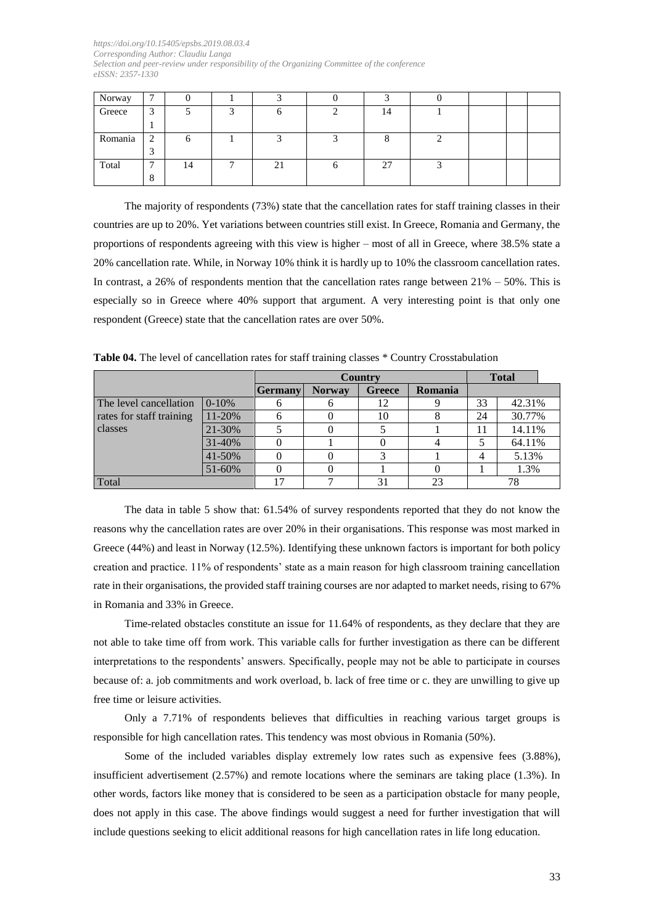| Norway  | $\mathbf{r}$   |    |   |    |    |  |  |
|---------|----------------|----|---|----|----|--|--|
| Greece  | 3<br>J         |    |   | n  | 14 |  |  |
|         |                |    |   |    |    |  |  |
| Romania | $\bigcap$<br>∠ |    |   |    |    |  |  |
|         | ◡              |    |   |    |    |  |  |
| Total   | $\mathbf{r}$   | 14 | − | 21 | 27 |  |  |
|         | 8              |    |   |    |    |  |  |

The majority of respondents (73%) state that the cancellation rates for staff training classes in their countries are up to 20%. Yet variations between countries still exist. In Greece, Romania and Germany, the proportions of respondents agreeing with this view is higher – most of all in Greece, where 38.5% state a 20% cancellation rate. While, in Norway 10% think it is hardly up to 10% the classroom cancellation rates. In contrast, a 26% of respondents mention that the cancellation rates range between  $21\% - 50\%$ . This is especially so in Greece where 40% support that argument. A very interesting point is that only one respondent (Greece) state that the cancellation rates are over 50%.

|                          |         |                |               | Country |         |    | <b>Total</b> |  |
|--------------------------|---------|----------------|---------------|---------|---------|----|--------------|--|
|                          |         | <b>Germany</b> | <b>Norway</b> | Greece  | Romania |    |              |  |
| The level cancellation   | $0-10%$ |                |               | 12      |         | 33 | 42.31%       |  |
| rates for staff training | 11-20%  |                |               | 10      |         | 24 | 30.77%       |  |
| classes                  | 21-30%  |                |               |         |         | 11 | 14.11%       |  |
|                          | 31-40%  |                |               |         |         |    | 64.11%       |  |
|                          | 41-50%  |                |               |         |         | 4  | 5.13%        |  |
|                          | 51-60%  |                |               |         |         |    | 1.3%         |  |
| Total                    |         |                |               | 31      | 23      | 78 |              |  |

The data in table 5 show that: 61.54% of survey respondents reported that they do not know the reasons why the cancellation rates are over 20% in their organisations. This response was most marked in Greece (44%) and least in Norway (12.5%). Identifying these unknown factors is important for both policy creation and practice. 11% of respondents' state as a main reason for high classroom training cancellation rate in their organisations, the provided staff training courses are nor adapted to market needs, rising to 67% in Romania and 33% in Greece.

Time-related obstacles constitute an issue for 11.64% of respondents, as they declare that they are not able to take time off from work. This variable calls for further investigation as there can be different interpretations to the respondents' answers. Specifically, people may not be able to participate in courses because of: a. job commitments and work overload, b. lack of free time or c. they are unwilling to give up free time or leisure activities.

Only a 7.71% of respondents believes that difficulties in reaching various target groups is responsible for high cancellation rates. This tendency was most obvious in Romania (50%).

Some of the included variables display extremely low rates such as expensive fees (3.88%), insufficient advertisement (2.57%) and remote locations where the seminars are taking place (1.3%). In other words, factors like money that is considered to be seen as a participation obstacle for many people, does not apply in this case. The above findings would suggest a need for further investigation that will include questions seeking to elicit additional reasons for high cancellation rates in life long education.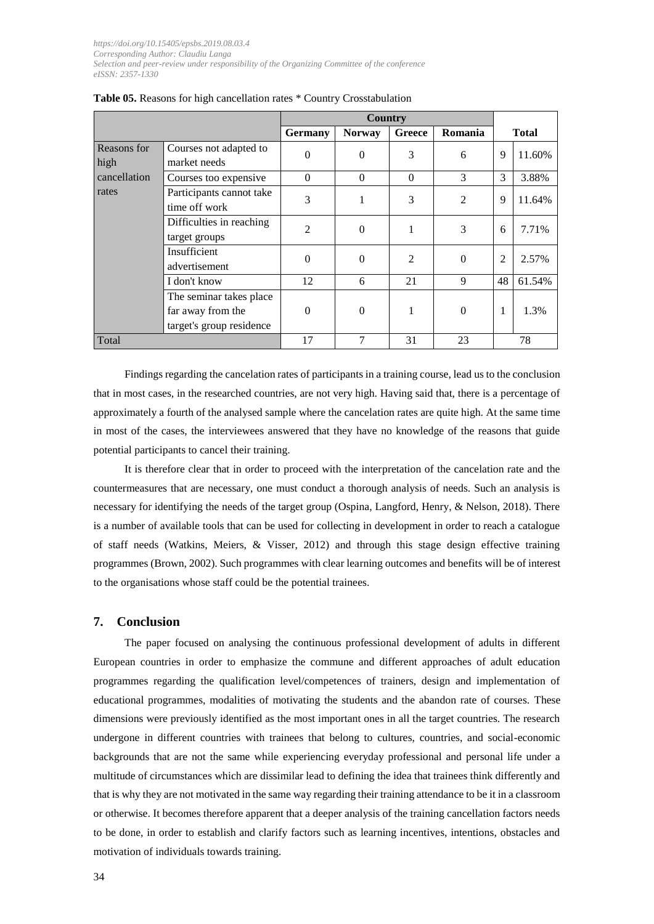|                     |                                                                          | <b>Country</b> |               |                |                |                |              |
|---------------------|--------------------------------------------------------------------------|----------------|---------------|----------------|----------------|----------------|--------------|
|                     |                                                                          | <b>Germany</b> | <b>Norway</b> | Greece         | Romania        |                | <b>Total</b> |
| Reasons for<br>high | Courses not adapted to<br>market needs                                   | $\theta$       | $\Omega$      | 3              | 6              | 9              | 11.60%       |
| cancellation        | Courses too expensive                                                    | $\Omega$       | $\Omega$      | $\theta$       | 3              | 3              | 3.88%        |
| rates               | Participants cannot take<br>time off work                                | 3              |               | 3              | $\overline{2}$ | 9              | 11.64%       |
|                     | Difficulties in reaching<br>target groups                                | $\mathfrak{D}$ | $\Omega$      | 1              | 3              | 6              | 7.71%        |
|                     | Insufficient<br>advertisement                                            | $\theta$       | $\Omega$      | $\mathfrak{D}$ | $\Omega$       | $\overline{2}$ | 2.57%        |
|                     | I don't know                                                             | 12             | 6             | 21             | 9              | 48             | 61.54%       |
|                     | The seminar takes place<br>far away from the<br>target's group residence | $\Omega$       | $\Omega$      |                | $\Omega$       | 1              | 1.3%         |
| Total               |                                                                          | 17             |               | 31             | 23             |                | 78           |

**Table 05.** Reasons for high cancellation rates \* Country Crosstabulation

Findings regarding the cancelation rates of participants in a training course, lead us to the conclusion that in most cases, in the researched countries, are not very high. Having said that, there is a percentage of approximately a fourth of the analysed sample where the cancelation rates are quite high. At the same time in most of the cases, the interviewees answered that they have no knowledge of the reasons that guide potential participants to cancel their training.

It is therefore clear that in order to proceed with the interpretation of the cancelation rate and the countermeasures that are necessary, one must conduct a thorough analysis of needs. Such an analysis is necessary for identifying the needs of the target group (Ospina, Langford, Henry, & Nelson, 2018). There is a number of available tools that can be used for collecting in development in order to reach a catalogue of staff needs (Watkins, Meiers, & Visser, 2012) and through this stage design effective training programmes (Brown, 2002). Such programmes with clear learning outcomes and benefits will be of interest to the organisations whose staff could be the potential trainees.

## **7. Conclusion**

The paper focused on analysing the continuous professional development of adults in different European countries in order to emphasize the commune and different approaches of adult education programmes regarding the qualification level/competences of trainers, design and implementation of educational programmes, modalities of motivating the students and the abandon rate of courses. These dimensions were previously identified as the most important ones in all the target countries. The research undergone in different countries with trainees that belong to cultures, countries, and social-economic backgrounds that are not the same while experiencing everyday professional and personal life under a multitude of circumstances which are dissimilar lead to defining the idea that trainees think differently and that is why they are not motivated in the same way regarding their training attendance to be it in a classroom or otherwise. It becomes therefore apparent that a deeper analysis of the training cancellation factors needs to be done, in order to establish and clarify factors such as learning incentives, intentions, obstacles and motivation of individuals towards training.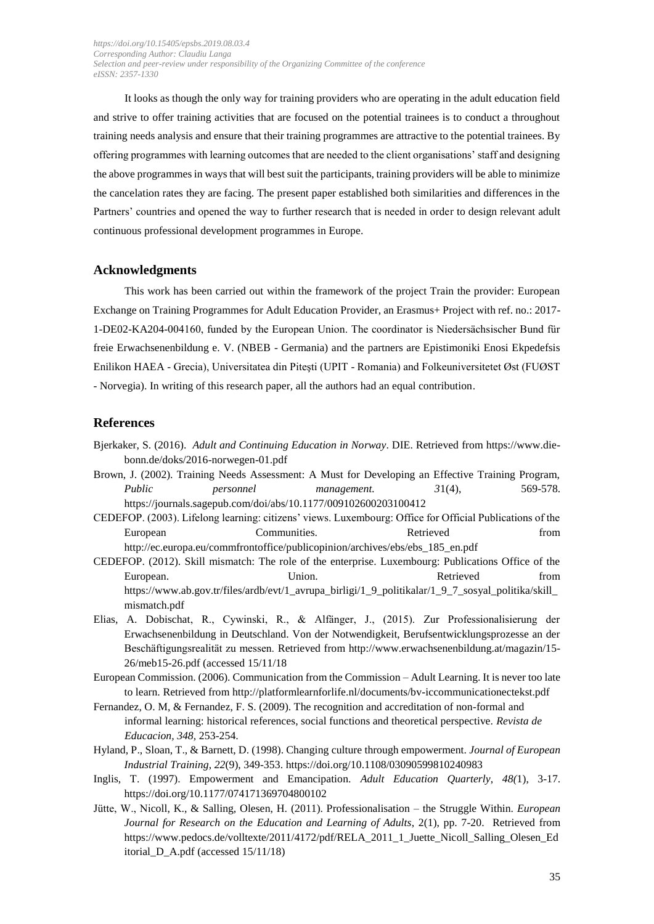It looks as though the only way for training providers who are operating in the adult education field and strive to offer training activities that are focused on the potential trainees is to conduct a throughout training needs analysis and ensure that their training programmes are attractive to the potential trainees. By offering programmes with learning outcomes that are needed to the client organisations' staff and designing the above programmes in ways that will best suit the participants, training providers will be able to minimize the cancelation rates they are facing. The present paper established both similarities and differences in the Partners' countries and opened the way to further research that is needed in order to design relevant adult continuous professional development programmes in Europe.

#### **Acknowledgments**

This work has been carried out within the framework of the project Train the provider: European Exchange on Training Programmes for Adult Education Provider, an Erasmus+ Project with ref. no.: 2017- 1-DE02-KA204-004160, funded by the European Union. The coordinator is Niedersächsischer Bund für freie Erwachsenenbildung e. V. (NBEB - Germania) and the partners are Epistimoniki Enosi Ekpedefsis Enilikon HAEA - Grecia), Universitatea din Piteşti (UPIT - Romania) and Folkeuniversitetet Øst (FUØST - Norvegia). In writing of this research paper, all the authors had an equal contribution.

#### **References**

- Bjerkaker, S. (2016). *Adult and Continuing Education in Norway*. DIE. Retrieved from https://www.diebonn.de/doks/2016-norwegen-01.pdf
- Brown, J. (2002). Training Needs Assessment: A Must for Developing an Effective Training Program, *Public personnel management. 3*1(4), 569-578. https://journals.sagepub.com/doi/abs/10.1177/009102600203100412
- CEDEFOP. (2003). Lifelong learning: citizens' views. Luxembourg: Office for Official Publications of the European Communities. Retrieved http://ec.europa.eu/commfrontoffice/publicopinion/archives/ebs/ebs\_185\_en.pdf
- CEDEFOP. (2012). Skill mismatch: The role of the enterprise. Luxembourg: Publications Office of the European. Union. Retrieved from https://www.ab.gov.tr/files/ardb/evt/1\_avrupa\_birligi/1\_9\_politikalar/1\_9\_7\_sosyal\_politika/skill\_ mismatch.pdf
- Elias, A. Dobischat, R., Cywinski, R., & Alfänger, J., (2015). Zur Professionalisierung der Erwachsenenbildung in Deutschland. Von der Notwendigkeit, Berufsentwicklungsprozesse an der Beschäftigungsrealität zu messen. Retrieved from http://www.erwachsenenbildung.at/magazin/15- 26/meb15-26.pdf (accessed 15/11/18
- European Commission. (2006). Communication from the Commission Adult Learning. It is never too late to learn. Retrieved from http://platformlearnforlife.nl/documents/bv-iccommunicationectekst.pdf
- Fernandez, O. M, & Fernandez, F. S. (2009). The recognition and accreditation of non-formal and informal learning: historical references, social functions and theoretical perspective. *Revista de Educacion, 348,* 253-254.
- Hyland, P., Sloan, T., & Barnett, D. (1998). Changing culture through empowerment. *Journal of European Industrial Training*, *22*(9), 349-353.<https://doi.org/10.1108/03090599810240983>
- Inglis, T. (1997). Empowerment and Emancipation. *Adult Education Quarterly*, *48(*1), 3-17. [https://doi.org/10.1177/074171369704800102](https://doi.org/10.1177%2F074171369704800102)
- Jütte, W., Nicoll, K., & Salling, Olesen, H. (2011). Professionalisation the Struggle Within. *European Journal for Research on the Education and Learning of Adults*, 2(1), pp. 7-20. Retrieved from [https://www.pedocs.de/volltexte/2011/4172/pdf/RELA\\_2011\\_1\\_Juette\\_Nicoll\\_Salling\\_Olesen\\_Ed](https://www.pedocs.de/volltexte/2011/4172/pdf/RELA_2011_1_Juette_Nicoll_Salling_Olesen_Editorial_D_A.pdf) [itorial\\_D\\_A.pdf](https://www.pedocs.de/volltexte/2011/4172/pdf/RELA_2011_1_Juette_Nicoll_Salling_Olesen_Editorial_D_A.pdf) (accessed 15/11/18)